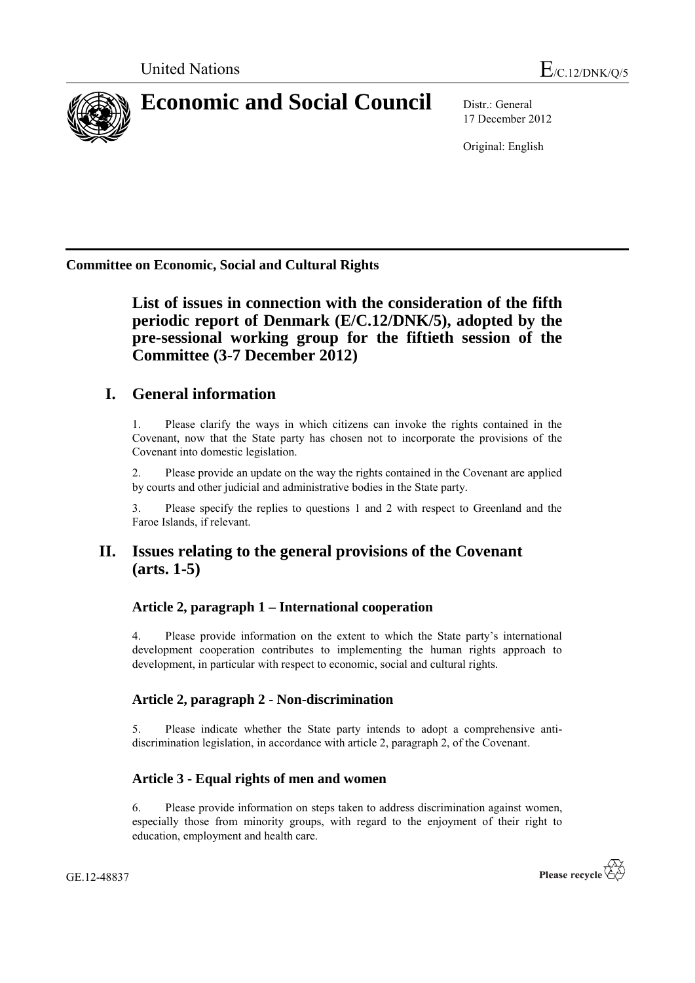

# **Economic and Social Council** Distr.: General

17 December 2012

Original: English

**Committee on Economic, Social and Cultural Rights**

**List of issues in connection with the consideration of the fifth periodic report of Denmark (E/C.12/DNK/5), adopted by the pre-sessional working group for the fiftieth session of the Committee (3-7 December 2012)**

# **I. General information**

1. Please clarify the ways in which citizens can invoke the rights contained in the Covenant, now that the State party has chosen not to incorporate the provisions of the Covenant into domestic legislation.

2. Please provide an update on the way the rights contained in the Covenant are applied by courts and other judicial and administrative bodies in the State party.

3. Please specify the replies to questions 1 and 2 with respect to Greenland and the Faroe Islands, if relevant.

# **II. Issues relating to the general provisions of the Covenant (arts. 1-5)**

# **Article 2, paragraph 1 – International cooperation**

4. Please provide information on the extent to which the State party's international development cooperation contributes to implementing the human rights approach to development, in particular with respect to economic, social and cultural rights.

# **Article 2, paragraph 2 - Non-discrimination**

5. Please indicate whether the State party intends to adopt a comprehensive antidiscrimination legislation, in accordance with article 2, paragraph 2, of the Covenant.

# **Article 3 - Equal rights of men and women**

6. Please provide information on steps taken to address discrimination against women, especially those from minority groups, with regard to the enjoyment of their right to education, employment and health care.

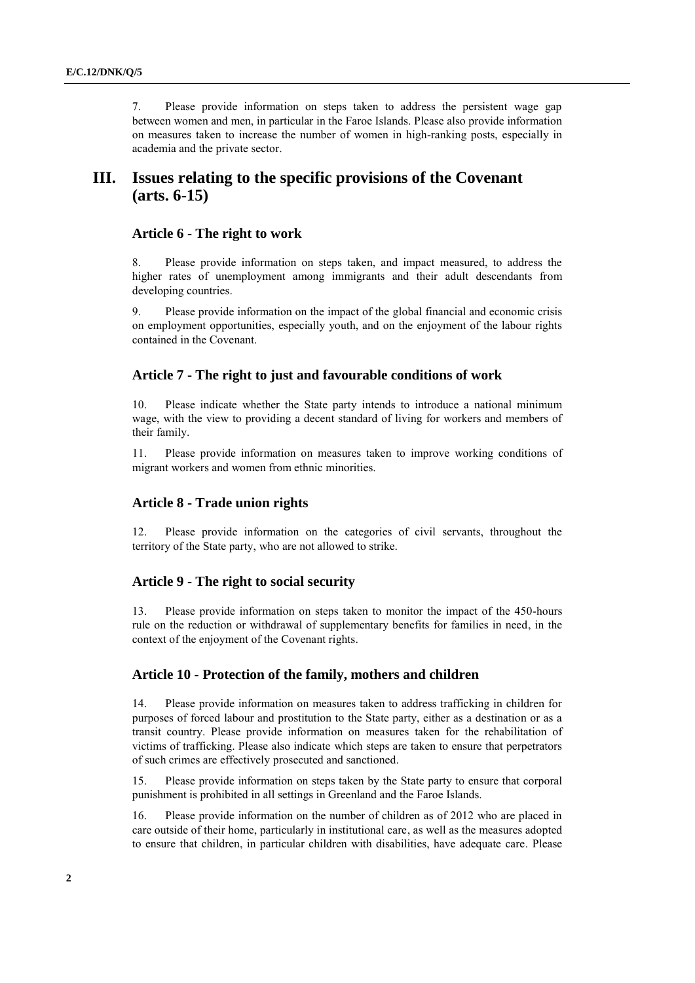7. Please provide information on steps taken to address the persistent wage gap between women and men, in particular in the Faroe Islands. Please also provide information on measures taken to increase the number of women in high-ranking posts, especially in academia and the private sector.

# **III. Issues relating to the specific provisions of the Covenant (arts. 6-15)**

## **Article 6 - The right to work**

8. Please provide information on steps taken, and impact measured, to address the higher rates of unemployment among immigrants and their adult descendants from developing countries.

9. Please provide information on the impact of the global financial and economic crisis on employment opportunities, especially youth, and on the enjoyment of the labour rights contained in the Covenant.

# **Article 7 - The right to just and favourable conditions of work**

10. Please indicate whether the State party intends to introduce a national minimum wage, with the view to providing a decent standard of living for workers and members of their family.

11. Please provide information on measures taken to improve working conditions of migrant workers and women from ethnic minorities.

## **Article 8 - Trade union rights**

12. Please provide information on the categories of civil servants, throughout the territory of the State party, who are not allowed to strike.

## **Article 9 - The right to social security**

13. Please provide information on steps taken to monitor the impact of the 450-hours rule on the reduction or withdrawal of supplementary benefits for families in need, in the context of the enjoyment of the Covenant rights.

## **Article 10 - Protection of the family, mothers and children**

14. Please provide information on measures taken to address trafficking in children for purposes of forced labour and prostitution to the State party, either as a destination or as a transit country. Please provide information on measures taken for the rehabilitation of victims of trafficking. Please also indicate which steps are taken to ensure that perpetrators of such crimes are effectively prosecuted and sanctioned.

15. Please provide information on steps taken by the State party to ensure that corporal punishment is prohibited in all settings in Greenland and the Faroe Islands.

16. Please provide information on the number of children as of 2012 who are placed in care outside of their home, particularly in institutional care, as well as the measures adopted to ensure that children, in particular children with disabilities, have adequate care. Please